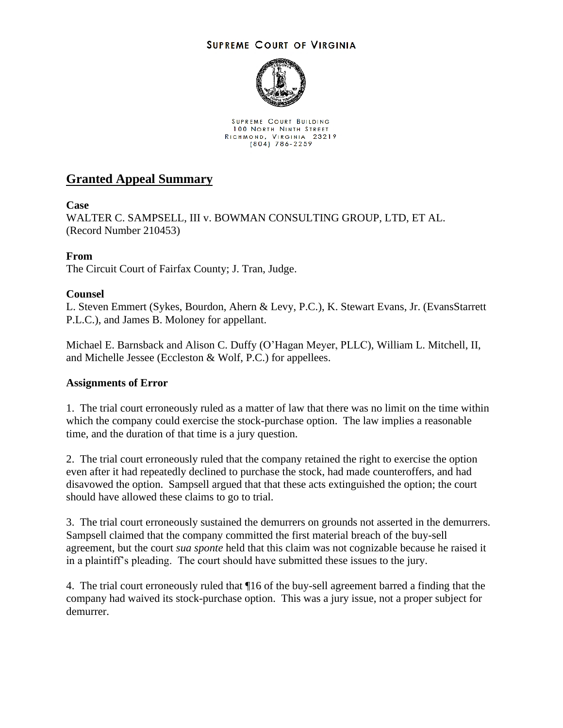## **SUPREME COURT OF VIRGINIA**



SUPREME COURT BUILDING **100 NORTH NINTH STREET** RICHMOND, VIRGINIA 23219<br>(804) 786-2259

# **Granted Appeal Summary**

## **Case**

WALTER C. SAMPSELL, III v. BOWMAN CONSULTING GROUP, LTD, ET AL. (Record Number 210453)

## **From**

The Circuit Court of Fairfax County; J. Tran, Judge.

## **Counsel**

L. Steven Emmert (Sykes, Bourdon, Ahern & Levy, P.C.), K. Stewart Evans, Jr. (EvansStarrett P.L.C.), and James B. Moloney for appellant.

Michael E. Barnsback and Alison C. Duffy (O'Hagan Meyer, PLLC), William L. Mitchell, II, and Michelle Jessee (Eccleston & Wolf, P.C.) for appellees.

#### **Assignments of Error**

1. The trial court erroneously ruled as a matter of law that there was no limit on the time within which the company could exercise the stock-purchase option. The law implies a reasonable time, and the duration of that time is a jury question.

2. The trial court erroneously ruled that the company retained the right to exercise the option even after it had repeatedly declined to purchase the stock, had made counteroffers, and had disavowed the option. Sampsell argued that that these acts extinguished the option; the court should have allowed these claims to go to trial.

3. The trial court erroneously sustained the demurrers on grounds not asserted in the demurrers. Sampsell claimed that the company committed the first material breach of the buy-sell agreement, but the court *sua sponte* held that this claim was not cognizable because he raised it in a plaintiff's pleading. The court should have submitted these issues to the jury.

4. The trial court erroneously ruled that ¶16 of the buy-sell agreement barred a finding that the company had waived its stock-purchase option. This was a jury issue, not a proper subject for demurrer.